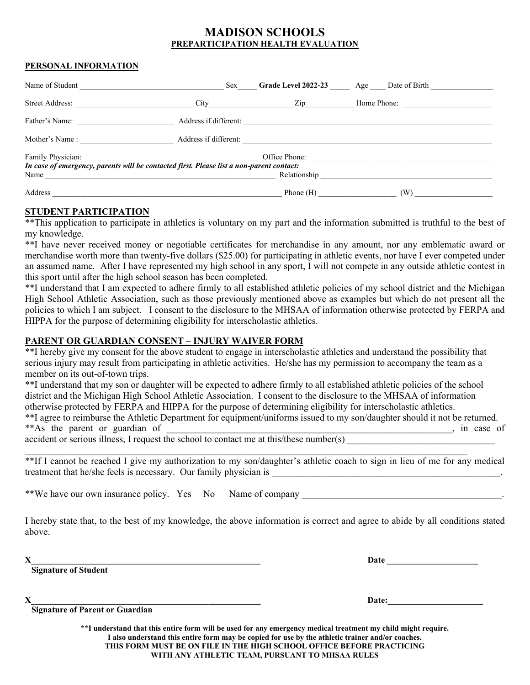# **MADISON SCHOOLS PREPARTICIPATION HEALTH EVALUATION**

### **PERSONAL INFORMATION**

| Name of Student                                                                          | <b>Sex</b>            | Grade Level 2022-23               | Age Date of Birth |
|------------------------------------------------------------------------------------------|-----------------------|-----------------------------------|-------------------|
| <b>Street Address:</b>                                                                   | <b>City</b>           | $\mathop{\mathrm {Zip}}\nolimits$ | Home Phone:       |
| Father's Name:                                                                           | Address if different: |                                   |                   |
| Mother's Name:                                                                           | Address if different: |                                   |                   |
|                                                                                          |                       | Office Phone:                     |                   |
| In case of emergency, parents will be contacted first. Please list a non-parent contact: |                       |                                   |                   |
| Name                                                                                     |                       | Relationship                      |                   |
| Address                                                                                  |                       | Phone $(H)$                       | (W)               |

### **STUDENT PARTICIPATION**

\*\*This application to participate in athletics is voluntary on my part and the information submitted is truthful to the best of my knowledge.

\*\*I have never received money or negotiable certificates for merchandise in any amount, nor any emblematic award or merchandise worth more than twenty-five dollars (\$25.00) for participating in athletic events, nor have I ever competed under an assumed name. After I have represented my high school in any sport, I will not compete in any outside athletic contest in this sport until after the high school season has been completed.

\*\*I understand that I am expected to adhere firmly to all established athletic policies of my school district and the Michigan High School Athletic Association, such as those previously mentioned above as examples but which do not present all the policies to which I am subject. I consent to the disclosure to the MHSAA of information otherwise protected by FERPA and HIPPA for the purpose of determining eligibility for interscholastic athletics.

### **PARENT OR GUARDIAN CONSENT – INJURY WAIVER FORM**

\*\*I hereby give my consent for the above student to engage in interscholastic athletics and understand the possibility that serious injury may result from participating in athletic activities. He/she has my permission to accompany the team as a member on its out-of-town trips.

\*\*I understand that my son or daughter will be expected to adhere firmly to all established athletic policies of the school district and the Michigan High School Athletic Association. I consent to the disclosure to the MHSAA of information otherwise protected by FERPA and HIPPA for the purpose of determining eligibility for interscholastic athletics. \*\*I agree to reimburse the Athletic Department for equipment/uniforms issued to my son/daughter should it not be returned.

 $\_$  ,  $\_$  ,  $\_$  ,  $\_$  ,  $\_$  ,  $\_$  ,  $\_$  ,  $\_$  ,  $\_$  ,  $\_$  ,  $\_$  ,  $\_$  ,  $\_$  ,  $\_$  ,  $\_$  ,  $\_$  ,  $\_$  ,  $\_$  ,  $\_$  ,  $\_$  ,  $\_$  ,  $\_$  ,  $\_$  ,  $\_$  ,  $\_$  ,  $\_$  ,  $\_$  ,  $\_$  ,  $\_$  ,  $\_$  ,  $\_$  ,  $\_$  ,  $\_$  ,  $\_$  ,  $\_$  ,  $\_$  ,  $\_$  ,

\*\*As the parent or guardian of \_\_\_\_\_\_\_\_\_\_\_\_\_\_\_\_\_\_\_\_\_\_\_\_\_\_\_\_\_\_\_\_\_\_\_\_\_\_\_\_\_\_\_\_\_\_\_\_\_\_\_\_\_\_\_\_\_\_\_\_, in case of

accident or serious illness, I request the school to contact me at this/these number(s)

\*\*If I cannot be reached I give my authorization to my son/daughter's athletic coach to sign in lieu of me for any medical treatment that he/she feels is necessary. Our family physician is

\*\*We have our own insurance policy. Yes No Name of company

I hereby state that, to the best of my knowledge, the above information is correct and agree to abide by all conditions stated above.

 **Signature of Student**

**X\_\_\_\_\_\_\_\_\_\_\_\_\_\_\_\_\_\_\_\_\_\_\_\_\_\_\_\_\_\_\_\_\_\_\_\_\_\_\_\_\_\_\_\_\_\_\_\_\_\_\_\_\_ Date \_\_\_\_\_\_\_\_\_\_\_\_\_\_\_\_\_\_\_\_\_**

 $X$  **Date:** 

 **Signature of Parent or Guardian**

**\*\*I understand that this entire form will be used for any emergency medical treatment my child might require. I also understand this entire form may be copied for use by the athletic trainer and/or coaches. THIS FORM MUST BE ON FILE IN THE HIGH SCHOOL OFFICE BEFORE PRACTICING WITH ANY ATHLETIC TEAM, PURSUANT TO MHSAA RULES**